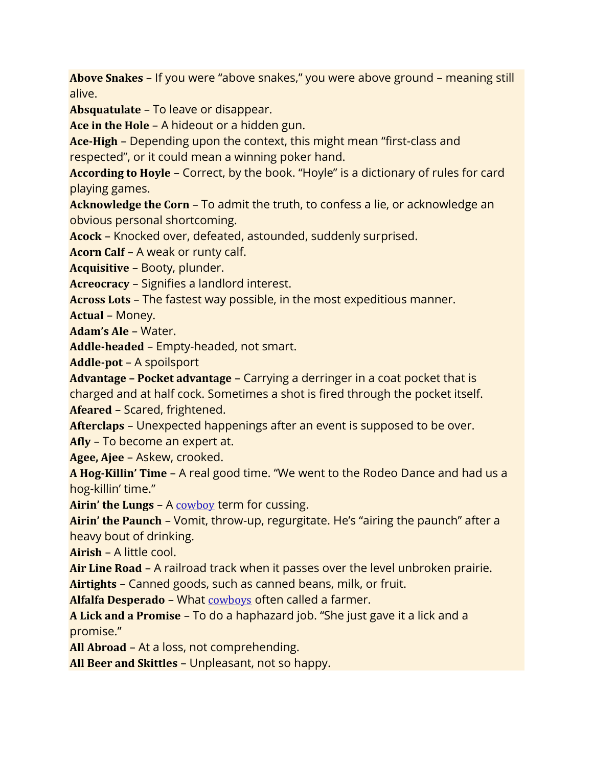**Above Snakes** – If you were "above snakes," you were above ground – meaning still alive.

**Absquatulate** – To leave or disappear.

**Ace in the Hole** – A hideout or a hidden gun.

**Ace-High** – Depending upon the context, this might mean "first-class and respected", or it could mean a winning poker hand.

**According to Hoyle** – Correct, by the book. "Hoyle" is a dictionary of rules for card playing games.

**Acknowledge the Corn** – To admit the truth, to confess a lie, or acknowledge an obvious personal shortcoming.

**Acock** – Knocked over, defeated, astounded, suddenly surprised.

**Acorn Calf** – A weak or runty calf.

**Acquisitive** – Booty, plunder.

**Acreocracy** – Signifies a landlord interest.

**Across Lots** – The fastest way possible, in the most expeditious manner.

**Actual** – Money.

**Adam's Ale** – Water.

**Addle-headed** – Empty-headed, not smart.

**Addle-pot** – A spoilsport

**Advantage – Pocket advantage** – Carrying a derringer in a coat pocket that is charged and at half cock. Sometimes a shot is fired through the pocket itself. **Afeared** – Scared, frightened.

**Afterclaps** – Unexpected happenings after an event is supposed to be over. **Afly** – To become an expert at.

**Agee, Ajee** – Askew, crooked.

**A Hog-Killin' Time** – A real good time. "We went to the Rodeo Dance and had us a hog-killin' time."

**Airin' the Lungs** – A [cowboy](https://www.legendsofamerica.com/we-cowboy-hough/) term for cussing.

**Airin' the Paunch** – Vomit, throw-up, regurgitate. He's "airing the paunch" after a heavy bout of drinking.

**Airish** – A little cool.

**Air Line Road** – A railroad track when it passes over the level unbroken prairie.

**Airtights** – Canned goods, such as canned beans, milk, or fruit.

**Alfalfa Desperado** – What [cowboys](https://www.legendsofamerica.com/we-americancowboy/) often called a farmer.

**A Lick and a Promise** – To do a haphazard job. "She just gave it a lick and a promise."

**All Abroad** – At a loss, not comprehending.

**All Beer and Skittles** – Unpleasant, not so happy.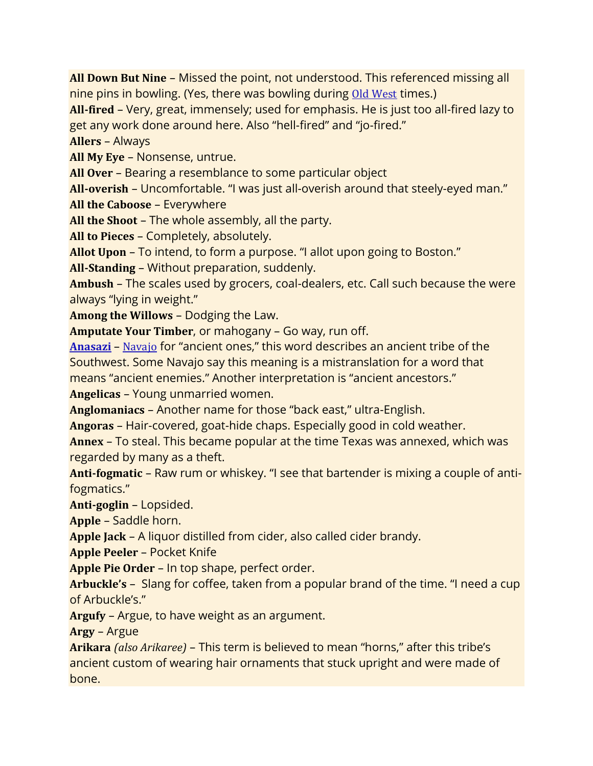**All Down But Nine** – Missed the point, not understood. This referenced missing all nine pins in bowling. (Yes, there was bowling during Old [West](https://www.legendsofamerica.com/old-west/) times.)

**All-fired** – Very, great, immensely; used for emphasis. He is just too all-fired lazy to get any work done around here. Also "hell-fired" and "jo-fired."

**Allers** – Always

**All My Eye** – Nonsense, untrue.

**All Over** – Bearing a resemblance to some particular object

**All-overish** – Uncomfortable. "I was just all-overish around that steely-eyed man." **All the Caboose** – Everywhere

**All the Shoot** – The whole assembly, all the party.

**All to Pieces** – Completely, absolutely.

**Allot Upon** – To intend, to form a purpose. "I allot upon going to Boston."

**All-Standing** – Without preparation, suddenly.

**Ambush** – The scales used by grocers, coal-dealers, etc. Call such because the were always "lying in weight."

**Among the Willows** – Dodging the Law.

**Amputate Your Timber**, or mahogany – Go way, run off.

**[Anasazi](https://www.legendsofamerica.com/na-ancientpuebloans/)** – [Navajo](https://www.legendsofamerica.com/na-navajo/) for "ancient ones," this word describes an ancient tribe of the Southwest. Some Navajo say this meaning is a mistranslation for a word that means "ancient enemies." Another interpretation is "ancient ancestors."

**Angelicas** – Young unmarried women.

**Anglomaniacs** – Another name for those "back east," ultra-English.

**Angoras** – Hair-covered, goat-hide chaps. Especially good in cold weather.

**Annex** – To steal. This became popular at the time Texas was annexed, which was regarded by many as a theft.

**Anti-fogmatic** – Raw rum or whiskey. "I see that bartender is mixing a couple of antifogmatics."

**Anti-goglin** – Lopsided.

**Apple** – Saddle horn.

**Apple Jack** – A liquor distilled from cider, also called cider brandy.

**Apple Peeler** – Pocket Knife

**Apple Pie Order** – In top shape, perfect order.

**Arbuckle's** – Slang for coffee, taken from a popular brand of the time. "I need a cup of Arbuckle's."

**Argufy** – Argue, to have weight as an argument.

**Argy** – Argue

**Arikara** *(also Arikaree)* – This term is believed to mean "horns," after this tribe's ancient custom of wearing hair ornaments that stuck upright and were made of bone.